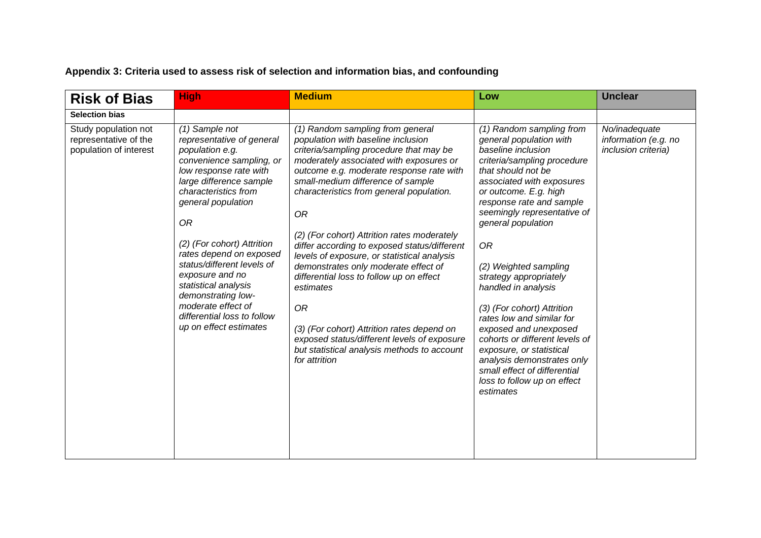## **Appendix 3: Criteria used to assess risk of selection and information bias, and confounding**

| <b>Risk of Bias</b>                                                     | <b>High</b>                                                                                                                                                                                                                                                                                                                                                                                                                                | <b>Medium</b>                                                                                                                                                                                                                                                                                                                                                                                                                                                                                                                                                                                                                                                                                                            | Low                                                                                                                                                                                                                                                                                                                                                                                                                                                                                                                                                                                                               | <b>Unclear</b>                                               |
|-------------------------------------------------------------------------|--------------------------------------------------------------------------------------------------------------------------------------------------------------------------------------------------------------------------------------------------------------------------------------------------------------------------------------------------------------------------------------------------------------------------------------------|--------------------------------------------------------------------------------------------------------------------------------------------------------------------------------------------------------------------------------------------------------------------------------------------------------------------------------------------------------------------------------------------------------------------------------------------------------------------------------------------------------------------------------------------------------------------------------------------------------------------------------------------------------------------------------------------------------------------------|-------------------------------------------------------------------------------------------------------------------------------------------------------------------------------------------------------------------------------------------------------------------------------------------------------------------------------------------------------------------------------------------------------------------------------------------------------------------------------------------------------------------------------------------------------------------------------------------------------------------|--------------------------------------------------------------|
| <b>Selection bias</b>                                                   |                                                                                                                                                                                                                                                                                                                                                                                                                                            |                                                                                                                                                                                                                                                                                                                                                                                                                                                                                                                                                                                                                                                                                                                          |                                                                                                                                                                                                                                                                                                                                                                                                                                                                                                                                                                                                                   |                                                              |
| Study population not<br>representative of the<br>population of interest | (1) Sample not<br>representative of general<br>population e.g.<br>convenience sampling, or<br>low response rate with<br>large difference sample<br>characteristics from<br>general population<br>0R<br>(2) (For cohort) Attrition<br>rates depend on exposed<br>status/different levels of<br>exposure and no<br>statistical analysis<br>demonstrating low-<br>moderate effect of<br>differential loss to follow<br>up on effect estimates | (1) Random sampling from general<br>population with baseline inclusion<br>criteria/sampling procedure that may be<br>moderately associated with exposures or<br>outcome e.g. moderate response rate with<br>small-medium difference of sample<br>characteristics from general population.<br>0R<br>(2) (For cohort) Attrition rates moderately<br>differ according to exposed status/different<br>levels of exposure, or statistical analysis<br>demonstrates only moderate effect of<br>differential loss to follow up on effect<br>estimates<br><b>OR</b><br>(3) (For cohort) Attrition rates depend on<br>exposed status/different levels of exposure<br>but statistical analysis methods to account<br>for attrition | (1) Random sampling from<br>general population with<br>baseline inclusion<br>criteria/sampling procedure<br>that should not be<br>associated with exposures<br>or outcome. E.g. high<br>response rate and sample<br>seemingly representative of<br>general population<br>0R<br>(2) Weighted sampling<br>strategy appropriately<br>handled in analysis<br>(3) (For cohort) Attrition<br>rates low and similar for<br>exposed and unexposed<br>cohorts or different levels of<br>exposure, or statistical<br>analysis demonstrates only<br>small effect of differential<br>loss to follow up on effect<br>estimates | No/inadequate<br>information (e.g. no<br>inclusion criteria) |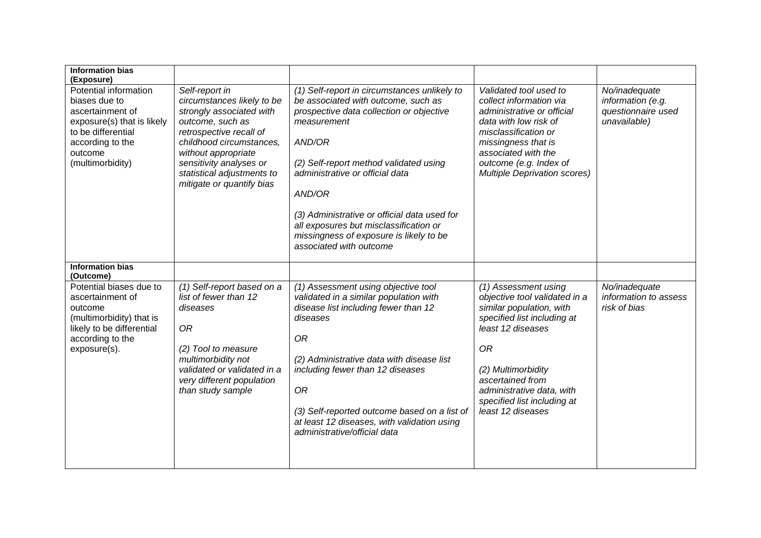| <b>Information bias</b><br>(Exposure)                                                                                                                             |                                                                                                                                                                                                                                                                  |                                                                                                                                                                                                                                                                                                                                                                                                                 |                                                                                                                                                                                                                                                                               |                                                                          |
|-------------------------------------------------------------------------------------------------------------------------------------------------------------------|------------------------------------------------------------------------------------------------------------------------------------------------------------------------------------------------------------------------------------------------------------------|-----------------------------------------------------------------------------------------------------------------------------------------------------------------------------------------------------------------------------------------------------------------------------------------------------------------------------------------------------------------------------------------------------------------|-------------------------------------------------------------------------------------------------------------------------------------------------------------------------------------------------------------------------------------------------------------------------------|--------------------------------------------------------------------------|
| Potential information<br>biases due to<br>ascertainment of<br>exposure(s) that is likely<br>to be differential<br>according to the<br>outcome<br>(multimorbidity) | Self-report in<br>circumstances likely to be<br>strongly associated with<br>outcome, such as<br>retrospective recall of<br>childhood circumstances.<br>without appropriate<br>sensitivity analyses or<br>statistical adjustments to<br>mitigate or quantify bias | (1) Self-report in circumstances unlikely to<br>be associated with outcome, such as<br>prospective data collection or objective<br>measurement<br>AND/OR<br>(2) Self-report method validated using<br>administrative or official data<br>AND/OR<br>(3) Administrative or official data used for<br>all exposures but misclassification or<br>missingness of exposure is likely to be<br>associated with outcome | Validated tool used to<br>collect information via<br>administrative or official<br>data with low risk of<br>misclassification or<br>missingness that is<br>associated with the<br>outcome (e.g. Index of<br><b>Multiple Deprivation scores)</b>                               | No/inadequate<br>information (e.g.<br>questionnaire used<br>unavailable) |
| <b>Information bias</b><br>(Outcome)                                                                                                                              |                                                                                                                                                                                                                                                                  |                                                                                                                                                                                                                                                                                                                                                                                                                 |                                                                                                                                                                                                                                                                               |                                                                          |
| Potential biases due to<br>ascertainment of<br>outcome<br>(multimorbidity) that is<br>likely to be differential<br>according to the<br>exposure(s).               | (1) Self-report based on a<br>list of fewer than 12<br>diseases<br><b>OR</b><br>(2) Tool to measure<br>multimorbidity not<br>validated or validated in a<br>very different population<br>than study sample                                                       | (1) Assessment using objective tool<br>validated in a similar population with<br>disease list including fewer than 12<br>diseases<br><b>OR</b><br>(2) Administrative data with disease list<br>including fewer than 12 diseases<br><b>OR</b><br>(3) Self-reported outcome based on a list of<br>at least 12 diseases, with validation using<br>administrative/official data                                     | (1) Assessment using<br>objective tool validated in a<br>similar population, with<br>specified list including at<br>least 12 diseases<br><b>OR</b><br>(2) Multimorbidity<br>ascertained from<br>administrative data, with<br>specified list including at<br>least 12 diseases | No/inadequate<br>information to assess<br>risk of bias                   |